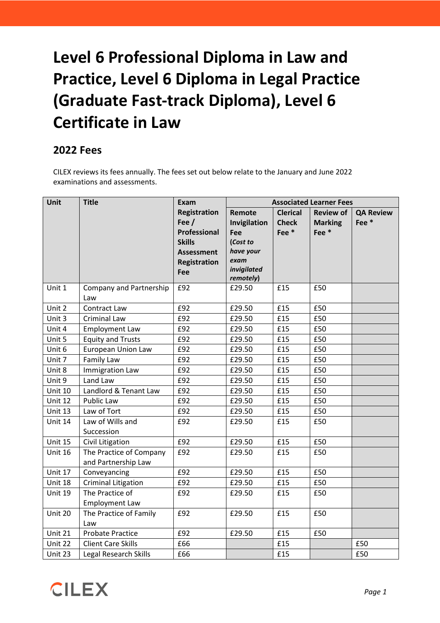# **Level 6 Professional Diploma in Law and Practice, Level 6 Diploma in Legal Practice (Graduate Fast-track Diploma), Level 6 Certificate in Law**

## **2022 Fees**

CILEX reviews its fees annually. The fees set out below relate to the January and June 2022 examinations and assessments.

| <b>Unit</b>    | <b>Title</b>                 | Exam                | <b>Associated Learner Fees</b> |                  |                  |                  |
|----------------|------------------------------|---------------------|--------------------------------|------------------|------------------|------------------|
|                |                              | <b>Registration</b> | Remote                         | <b>Clerical</b>  | <b>Review of</b> | <b>QA Review</b> |
|                |                              | Fee $/$             | Invigilation                   | <b>Check</b>     | <b>Marking</b>   | Fee*             |
|                |                              | Professional        | Fee                            | Fee <sup>*</sup> | Fee*             |                  |
|                |                              | <b>Skills</b>       | (Cost to                       |                  |                  |                  |
|                |                              | <b>Assessment</b>   | have your                      |                  |                  |                  |
|                |                              | <b>Registration</b> | exam                           |                  |                  |                  |
|                |                              | Fee                 | invigilated<br>remotely)       |                  |                  |                  |
| Unit 1         | Company and Partnership      | £92                 | £29.50                         | £15              | £50              |                  |
|                | Law                          |                     |                                |                  |                  |                  |
| Unit 2         | Contract Law                 | £92                 | £29.50                         | £15              | £50              |                  |
| Unit 3         | <b>Criminal Law</b>          | £92                 | £29.50                         | £15              | £50              |                  |
| Unit 4         | <b>Employment Law</b>        | £92                 | £29.50                         | £15              | £50              |                  |
| Unit 5         | <b>Equity and Trusts</b>     | £92                 | £29.50                         | £15              | £50              |                  |
| Unit 6         | European Union Law           | £92                 | £29.50                         | £15              | £50              |                  |
| Unit 7         | Family Law                   | £92                 | £29.50                         | £15              | £50              |                  |
| Unit 8         | Immigration Law              | £92                 | £29.50                         | £15              | £50              |                  |
| Unit 9         | Land Law                     | £92                 | £29.50                         | £15              | £50              |                  |
| <b>Unit 10</b> | Landlord & Tenant Law        | £92                 | £29.50                         | £15              | £50              |                  |
| Unit 12        | Public Law                   | £92                 | £29.50                         | £15              | £50              |                  |
| Unit 13        | Law of Tort                  | £92                 | £29.50                         | £15              | £50              |                  |
| Unit 14        | Law of Wills and             | £92                 | £29.50                         | £15              | £50              |                  |
|                | Succession                   |                     |                                |                  |                  |                  |
| Unit 15        | Civil Litigation             | £92                 | £29.50                         | £15              | £50              |                  |
| <b>Unit 16</b> | The Practice of Company      | £92                 | £29.50                         | £15              | £50              |                  |
|                | and Partnership Law          |                     |                                |                  |                  |                  |
| Unit 17        | Conveyancing                 | £92                 | £29.50                         | £15              | £50              |                  |
| Unit 18        | <b>Criminal Litigation</b>   | £92                 | £29.50                         | £15              | £50              |                  |
| Unit 19        | The Practice of              | £92                 | £29.50                         | £15              | £50              |                  |
|                | <b>Employment Law</b>        |                     |                                |                  |                  |                  |
| Unit 20        | The Practice of Family       | £92                 | £29.50                         | £15              | £50              |                  |
|                | Law                          |                     |                                |                  |                  |                  |
| Unit 21        | <b>Probate Practice</b>      | £92                 | £29.50                         | £15              | £50              |                  |
| Unit 22        | <b>Client Care Skills</b>    | £66                 |                                | £15              |                  | £50              |
| Unit 23        | <b>Legal Research Skills</b> | £66                 |                                | £15              |                  | £50              |